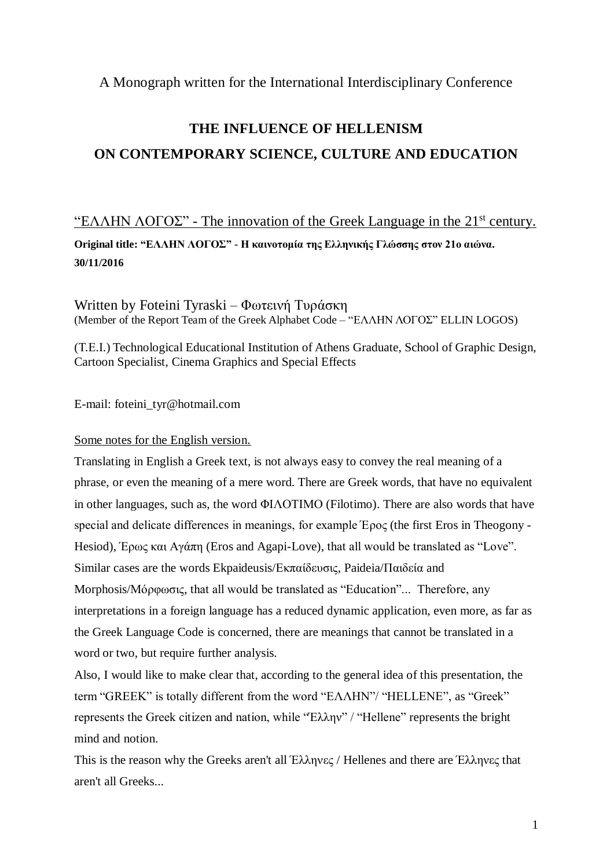A Monograph written for the International Interdisciplinary Conference

# **THE INFLUENCE OF HELLENISM ON CONTEMPORARY SCIENCE, CULTURE AND EDUCATION**

# "ΕΛΛΗΝ ΛΟΓΟΣ" - The innovation of the Greek Language in the  $21<sup>st</sup>$  century.

**Original title: "EΛΛΗΝ ΛΟΓΟΣ" - Η καινοτομία της Ελληνικής Γλώσσης στον 21ο αιώνα. 30/11/2016**

Written by Foteini Tyraski – Φωτεινή Τυράσκη (Member of the Report Team of the Greek Alphabet Code – "ΕΛΛΗΝ ΛΟΓΟΣ" ELLIN LOGOS)

(Τ.Ε.Ι.) Technological Educational Institution of Athens Graduate, School of Graphic Design, Cartoon Specialist, Cinema Graphics and Special Effects

E-mail: foteini\_tyr@hotmail.com

# Some notes for the English version.

Translating in English a Greek text, is not always easy to convey the real meaning of a phrase, or even the meaning of a mere word. There are Greek words, that have no equivalent in other languages, such as, the word ΦΙΛΟΤΙΜΟ (Filotimo). There are also words that have special and delicate differences in meanings, for example Έρος (the first Eros in Theogony - Hesiod), Έρως και Αγάπη (Eros and Agapi-Love), that all would be translated as "Love". Similar cases are the words Ekpaideusis/Εκπαίδευσις, Paideia/Παιδεία and Morphosis/Μόρφωσις, that all would be translated as "Education"... Therefore, any interpretations in a foreign language has a reduced dynamic application, even more, as far as the Greek Language Code is concerned, there are meanings that cannot be translated in a word or two, but require further analysis.

Also, I would like to make clear that, according to the general idea of this presentation, the term "GREEK" is totally different from the word "ΕΛΛΗΝ"/ "HELLENE", as "Greek" represents the Greek citizen and nation, while "Έλλην" / "Hellene" represents the bright mind and notion.

This is the reason why the Greeks aren't all Έλληνες / Hellenes and there are Έλληνες that aren't all Greeks...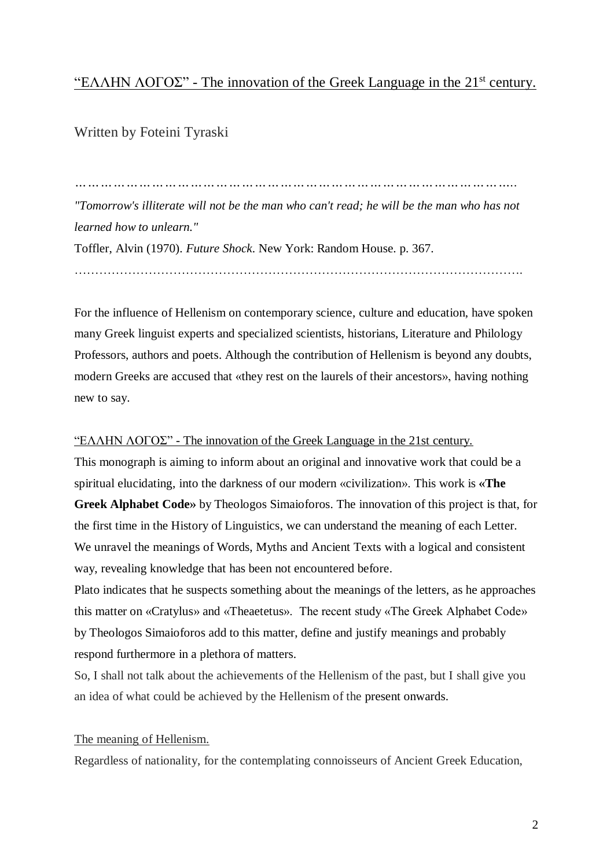# "ΕΛΛΗΝ ΛΟΓΟΣ" - The innovation of the Greek Language in the  $21<sup>st</sup>$  century.

Written by Foteini Tyraski

*"Tomorrow's illiterate will not be the man who can't read; he will be the man who has not learned how to unlearn."* 

……………………………………………………………………………………………….

*…………………………………………………………………………………………..*

Toffler, Alvin (1970). *Future Shock*. New York: Random House. p. 367.

For the influence of Hellenism on contemporary science, culture and education, have spoken many Greek linguist experts and specialized scientists, historians, Literature and Philology Professors, authors and poets. Although the contribution of Hellenism is beyond any doubts, modern Greeks are accused that «they rest on the laurels of their ancestors», having nothing

new to say.

# "EΛΛΗΝ ΛΟΓΟΣ" - The innovation of the Greek Language in the 21st century.

This monograph is aiming to inform about an original and innovative work that could be a spiritual elucidating, into the darkness of our modern «civilization». This work is **«The Greek Alphabet Code»** by Theologos Simaioforos. The innovation of this project is that, for the first time in the History of Linguistics, we can understand the meaning of each Letter. We unravel the meanings of Words, Myths and Ancient Texts with a logical and consistent way, revealing knowledge that has been not encountered before.

Plato indicates that he suspects something about the meanings of the letters, as he approaches this matter on «Cratylus» and «Theaetetus». The recent study «The Greek Alphabet Code» by Theologos Simaioforos add to this matter, define and justify meanings and probably respond furthermore in a plethora of matters.

So, I shall not talk about the achievements of the Hellenism of the past, but I shall give you an idea of what could be achieved by the Hellenism of the present onwards.

# The meaning of Hellenism.

Regardless of nationality, for the contemplating connoisseurs of Ancient Greek Education,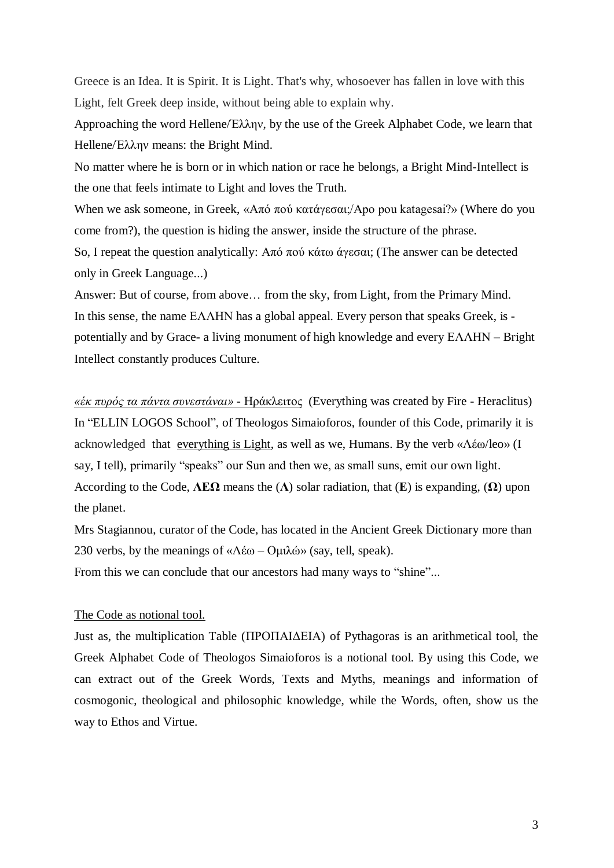Greece is an Idea. It is Spirit. It is Light. That's why, whosoever has fallen in love with this Light, felt Greek deep inside, without being able to explain why.

Approaching the word Hellene/Έλλην, by the use of the Greek Alphabet Code, we learn that Hellene/Έλλην means: the Bright Mind.

No matter where he is born or in which nation or race he belongs, a Bright Mind-Intellect is the one that feels intimate to Light and loves the Truth.

When we ask someone, in Greek, «Από πού κατάγεσαι;/Apo pou katagesai?» (Where do you come from?), the question is hiding the answer, inside the structure of the phrase. So, I repeat the question analytically: Από πού κάτω άγεσαι; (The answer can be detected

only in Greek Language...)

Answer: But of course, from above… from the sky, from Light, from the Primary Mind. In this sense, the name ΕΛΛΗΝ has a global appeal. Every person that speaks Greek, is potentially and by Grace- a living monument of high knowledge and every ΕΛΛΗΝ – Bright Intellect constantly produces Culture.

*«έκ πυρός τα πάντα συνεστάναι»* - Ηράκλειτος (Everything was created by Fire - Heraclitus) In "ELLIN LOGOS School", of Theologos Simaioforos, founder of this Code, primarily it is acknowledged that everything is Light, as well as we, Humans. By the verb «Λέω/leo» (I say, I tell), primarily "speaks" our Sun and then we, as small suns, emit our own light. According to the Code, **ΛΕΩ** means the (**Λ**) solar radiation, that (**Ε**) is expanding, (**Ω**) upon the planet.

Mrs Stagiannou, curator of the Code, has located in the Ancient Greek Dictionary more than 230 verbs, by the meanings of « $Λέω - Ομιλώ» (say, tell, speak).$ 

From this we can conclude that our ancestors had many ways to "shine"...

# The Code as notional tool.

Just as, the multiplication Table (ΠΡΟΠΑΙΔΕΙΑ) of Pythagoras is an arithmetical tool, the Greek Alphabet Code of Theologos Simaioforos is a notional tool. By using this Code, we can extract out of the Greek Words, Texts and Myths, meanings and information of cosmogonic, theological and philosophic knowledge, while the Words, often, show us the way to Ethos and Virtue.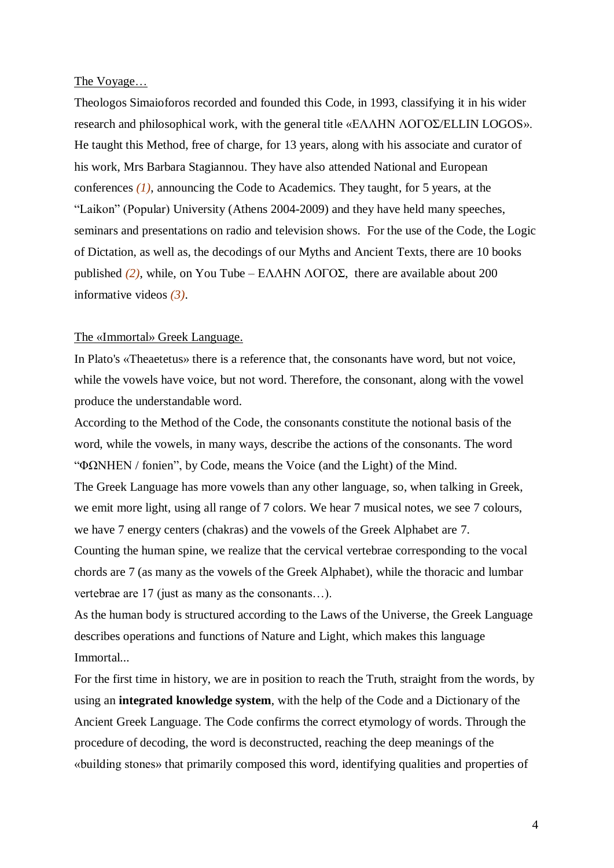#### The Voyage…

Theologos Simaioforos recorded and founded this Code, in 1993, classifying it in his wider research and philosophical work, with the general title «ΕΛΛΗΝ ΛΟΓΟΣ/ELLIN LOGOS». He taught this Method, free of charge, for 13 years, along with his associate and curator of his work, Mrs Barbara Stagiannou. They have also attended National and European conferences *(1)*, announcing the Code to Academics. They taught, for 5 years, at the "Laikon" (Popular) University (Athens 2004-2009) and they have held many speeches, seminars and presentations on radio and television shows. For the use of the Code, the Logic of Dictation, as well as, the decodings of our Myths and Ancient Texts, there are 10 books published (2), while, on You Tube – ΕΛΛΗΝ ΛΟΓΟΣ, there are available about 200 informative videos *(3)*.

# The «Immortal» Greek Language.

In Plato's «Theaetetus» there is a reference that, the consonants have word, but not voice, while the vowels have voice, but not word. Therefore, the consonant, along with the vowel produce the understandable word.

According to the Method of the Code, the consonants constitute the notional basis of the word, while the vowels, in many ways, describe the actions of the consonants. The word " $\Phi\Omega$ NHEN / fonien", by Code, means the Voice (and the Light) of the Mind.

The Greek Language has more vowels than any other language, so, when talking in Greek, we emit more light, using all range of 7 colors. We hear 7 musical notes, we see 7 colours, we have 7 energy centers (chakras) and the vowels of the Greek Alphabet are 7.

Counting the human spine, we realize that the cervical vertebrae corresponding to the vocal chords are 7 (as many as the vowels of the Greek Alphabet), while the thoracic and lumbar vertebrae are 17 (just as many as the consonants…).

As the human body is structured according to the Laws of the Universe, the Greek Language describes operations and functions of Nature and Light, which makes this language Immortal...

For the first time in history, we are in position to reach the Truth, straight from the words, by using an **integrated knowledge system**, with the help of the Code and a Dictionary of the Ancient Greek Language. The Code confirms the correct etymology of words. Through the procedure of decoding, the word is deconstructed, reaching the deep meanings of the «building stones» that primarily composed this word, identifying qualities and properties of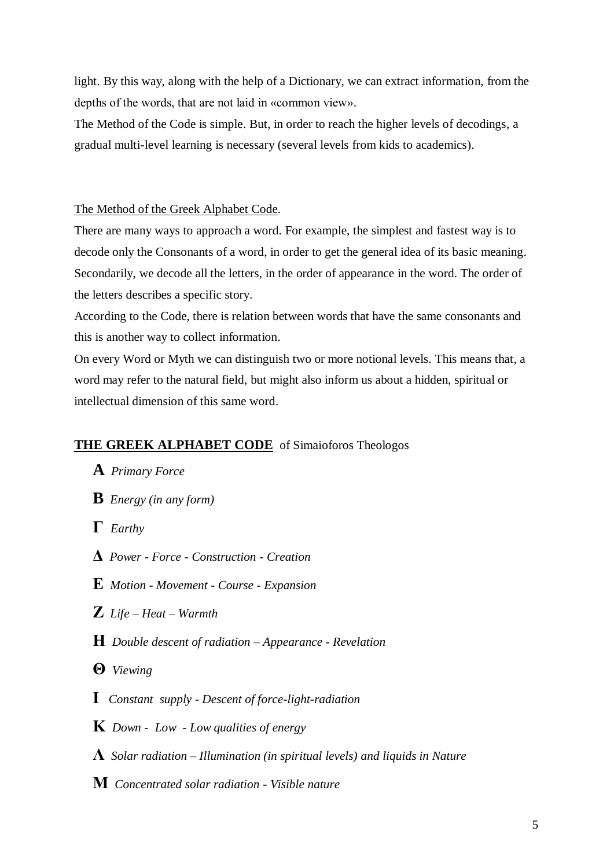light. By this way, along with the help of a Dictionary, we can extract information, from the depths of the words, that are not laid in «common view».

The Method of the Code is simple. But, in order to reach the higher levels of decodings, a gradual multi-level learning is necessary (several levels from kids to academics).

## The Method of the Greek Alphabet Code.

There are many ways to approach a word. For example, the simplest and fastest way is to decode only the Consonants of a word, in order to get the general idea of its basic meaning. Secondarily, we decode all the letters, in the order of appearance in the word. The order of the letters describes a specific story.

According to the Code, there is relation between words that have the same consonants and this is another way to collect information.

On every Word or Myth we can distinguish two or more notional levels. This means that, a word may refer to the natural field, but might also inform us about a hidden, spiritual or intellectual dimension of this same word.

# **THE GREEK ALPHABET CODE** of Simaioforos Theologos

- **A** *Primary Force*
- **B** *Energy (in any form)*
- **Γ** *Earthy*
- **Δ** *Power - Force - Construction - Creation*
- **Ε** *Motion - Movement - Course - Expansion*
- **Ζ** *Life – Heat – Warmth*
- **Η** *Double descent of radiation – Appearance - Revelation*
- **Θ** *Viewing*
- **Ι** *Constant supply - Descent of force-light-radiation*
- **Κ** *Down Low - Low qualities of energy*
- **Λ** *Solar radiation – Illumination (in spiritual levels) and liquids in Nature*
- **Μ** *Concentrated solar radiation - Visible nature*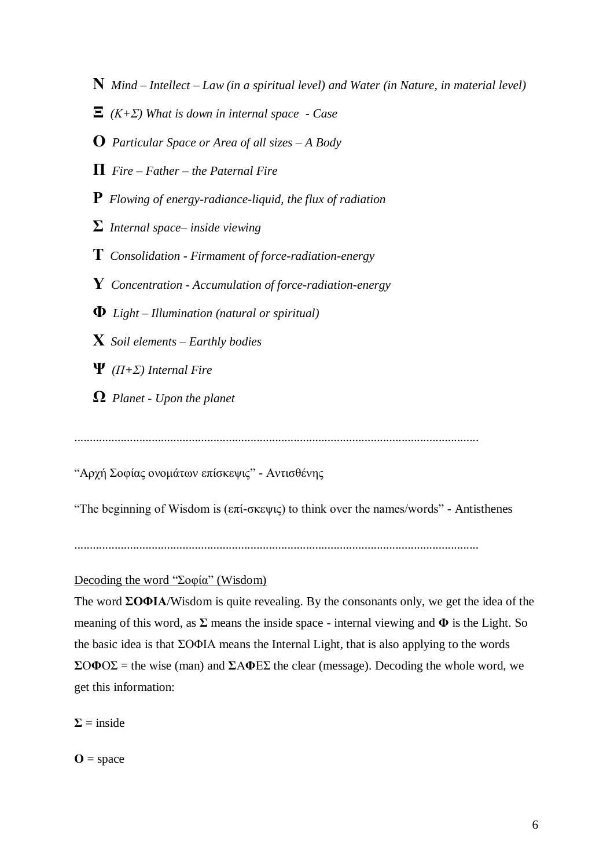- **Ν** *Mind – Intellect – Law (in a spiritual level) and Water (in Nature, in material level)*
- **Ξ** *(Κ+Σ) What is down in internal space - Case*
- **Ο** *Particular Space or Area of all sizes – A Body*
- **Π** *Fire – Father – the Paternal Fire*
- **Ρ** *Flowing of energy-radiance-liquid, the flux of radiation*
- **Σ** *Internal space– inside viewing*
- **Τ** *Consolidation - Firmament of force-radiation-energy*
- **Υ** *Concentration - Accumulation of force-radiation-energy*
- **Φ** *Light – Illumination (natural or spiritual)*
- **Χ** *Soil elements – Earthly bodies*
- **Ψ** *(Π+Σ) Internal Fire*
- **Ω** *Planet - Upon the planet*

...................................................................................................................................

"Αρχή Σοφίας ονομάτων επίσκεψις" - Αντισθένης

"The beginning of Wisdom is ( $\epsilon \pi i$ -σκεψις) to think over the names/words" - Antisthenes

# Decoding the word "Σοφία" (Wisdom)

The word **ΣΟΦΙΑ**/Wisdom is quite revealing. By the consonants only, we get the idea of the meaning of this word, as **Σ** means the inside space - internal viewing and **Φ** is the Light. So the basic idea is that ΣΟΦΙΑ means the Internal Light, that is also applying to the words **Σ**Ο**Φ**ΟΣ = the wise (man) and **Σ**Α**Φ**ΕΣ the clear (message). Decoding the whole word, we get this information:

 $\Sigma =$  inside

 $\mathbf{O} = \text{space}$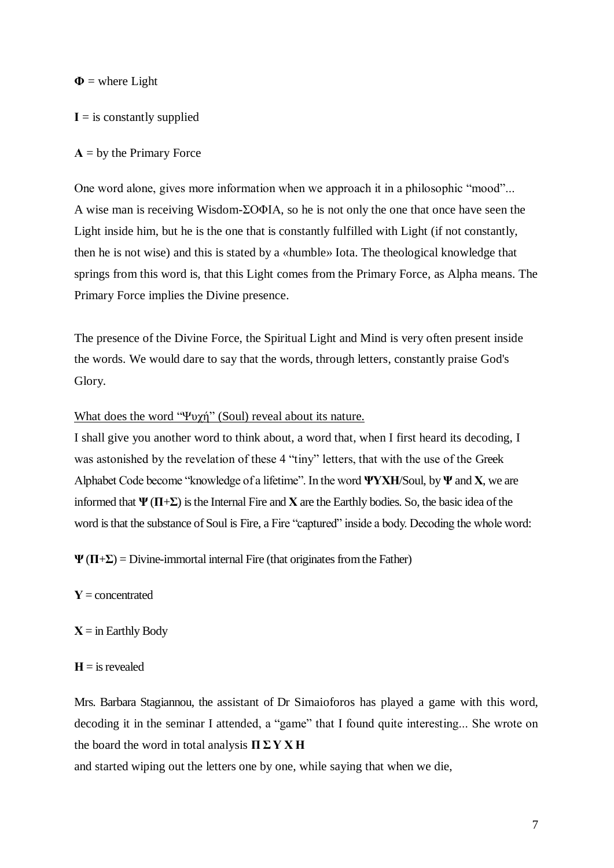$\Phi$  = where Light

**Ι** = is constantly supplied

#### **Α** = by the Primary Force

One word alone, gives more information when we approach it in a philosophic "mood"... A wise man is receiving Wisdom-ΣΟΦΙΑ, so he is not only the one that once have seen the Light inside him, but he is the one that is constantly fulfilled with Light (if not constantly, then he is not wise) and this is stated by a «humble» Ιota. The theological knowledge that springs from this word is, that this Light comes from the Primary Force, as Alpha means. The Primary Force implies the Divine presence.

The presence of the Divine Force, the Spiritual Light and Mind is very often present inside the words. We would dare to say that the words, through letters, constantly praise God's Glory.

#### What does the word "Ψυχή" (Soul) reveal about its nature.

I shall give you another word to think about, a word that, when I first heard its decoding, I was astonished by the revelation of these 4 "tiny" letters, that with the use of the Greek Alphabet Code become "knowledge of a lifetime". In the word **ΨΥΧΗ**/Soul, by **Ψ** and **Χ**, we are informed that **Ψ** (**Π**+**Σ**) is the Internal Fire and **Χ** are the Earthly bodies. So, the basic idea of the word is that the substance of Soul is Fire, a Fire "captured" inside a body. Decoding the whole word:

**Ψ** (**Π**+**Σ**) = Divine-immortal internal Fire (that originates from the Father)

- **Υ** = concentrated
- **Χ** = in Earthly Body
- $H =$  is revealed

Mrs. Barbara Stagiannou, the assistant of Dr Simaioforos has played a game with this word, decoding it in the seminar I attended, a "game" that I found quite interesting... She wrote on the board the word in total analysis **Π Σ Υ Χ Η**

and started wiping out the letters one by one, while saying that when we die,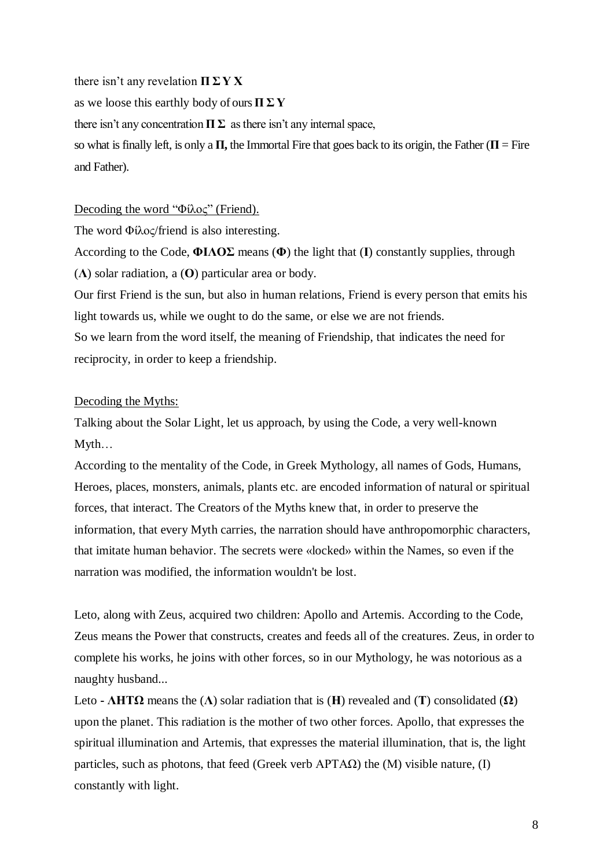there isn't any revelation **Π Σ Υ Χ**

as we loose this earthly body of ours **Π Σ Υ**

there isn't any concentration  $\Pi \Sigma$  as there isn't any internal space,

so what is finally left, is only a  $\Pi$ , the Immortal Fire that goes back to its origin, the Father ( $\Pi$  = Fire and Father).

# Decoding the word "Φίλος" (Friend).

The word Φίλος/friend is also interesting.

According to the Code, **ΦΙΛΟΣ** means (**Φ**) the light that (**Ι**) constantly supplies, through (**Λ**) solar radiation, a (**Ο**) particular area or body.

Our first Friend is the sun, but also in human relations, Friend is every person that emits his light towards us, while we ought to do the same, or else we are not friends. So we learn from the word itself, the meaning of Friendship, that indicates the need for reciprocity, in order to keep a friendship.

# Decoding the Myths:

Talking about the Solar Light, let us approach, by using the Code, a very well-known Myth…

According to the mentality of the Code, in Greek Mythology, all names of Gods, Humans, Heroes, places, monsters, animals, plants etc. are encoded information of natural or spiritual forces, that interact. The Creators of the Myths knew that, in order to preserve the information, that every Myth carries, the narration should have anthropomorphic characters, that imitate human behavior. The secrets were «locked» within the Names, so even if the narration was modified, the information wouldn't be lost.

Leto, along with Zeus, acquired two children: Apollo and Artemis. According to the Code, Zeus means the Power that constructs, creates and feeds all of the creatures. Zeus, in order to complete his works, he joins with other forces, so in our Mythology, he was notorious as a naughty husband...

Leto **- ΛΗΤΩ** means the (**Λ**) solar radiation that is (**Η**) revealed and (**Τ**) consolidated (**Ω**) upon the planet. This radiation is the mother of two other forces. Apollo, that expresses the spiritual illumination and Artemis, that expresses the material illumination, that is, the light particles, such as photons, that feed (Greek verb  $APTAQ$ ) the (M) visible nature, (I) constantly with light.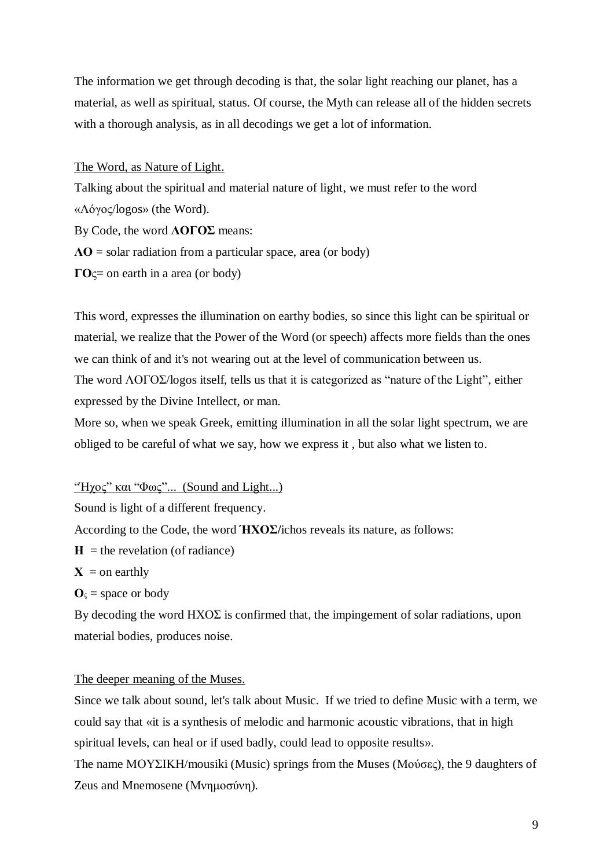The information we get through decoding is that, the solar light reaching our planet, has a material, as well as spiritual, status. Of course, the Myth can release all of the hidden secrets with a thorough analysis, as in all decodings we get a lot of information.

The Word, as Nature of Light.

Talking about the spiritual and material nature of light, we must refer to the word «Λόγος/logos» (the Word). By Code, the word **ΛΟΓΟΣ** means: **ΛΟ** = solar radiation from a particular space, area (or body) **ΓΟ**ς= on earth in a area (or body)

This word, expresses the illumination on earthy bodies, so since this light can be spiritual or material, we realize that the Power of the Word (or speech) affects more fields than the ones we can think of and it's not wearing out at the level of communication between us. The word ΛΟΓΟΣ/logos itself, tells us that it is categorized as "nature of the Light", either expressed by the Divine Intellect, or man.

More so, when we speak Greek, emitting illumination in all the solar light spectrum, we are obliged to be careful of what we say, how we express it , but also what we listen to.

"Ήχος" και "Φως"... (Sound and Light...)

Sound is light of a different frequency.

According to the Code, the word **ΉΧΟΣ/**ichos reveals its nature, as follows:

- $H =$  the revelation (of radiance)
- $X =$ on earthly

 $\mathbf{O}_\varsigma$  = space or body

By decoding the word  $HXO\Sigma$  is confirmed that, the impingement of solar radiations, upon material bodies, produces noise.

# The deeper meaning of the Muses.

Since we talk about sound, let's talk about Music. If we tried to define Music with a term, we could say that «it is a synthesis of melodic and harmonic acoustic vibrations, that in high spiritual levels, can heal or if used badly, could lead to opposite results».

The name ΜΟΥΣΙΚΗ/mousiki (Music) springs from the Muses (Μούσες), the 9 daughters of Zeus and Mnemosene (Μνημοσύνη).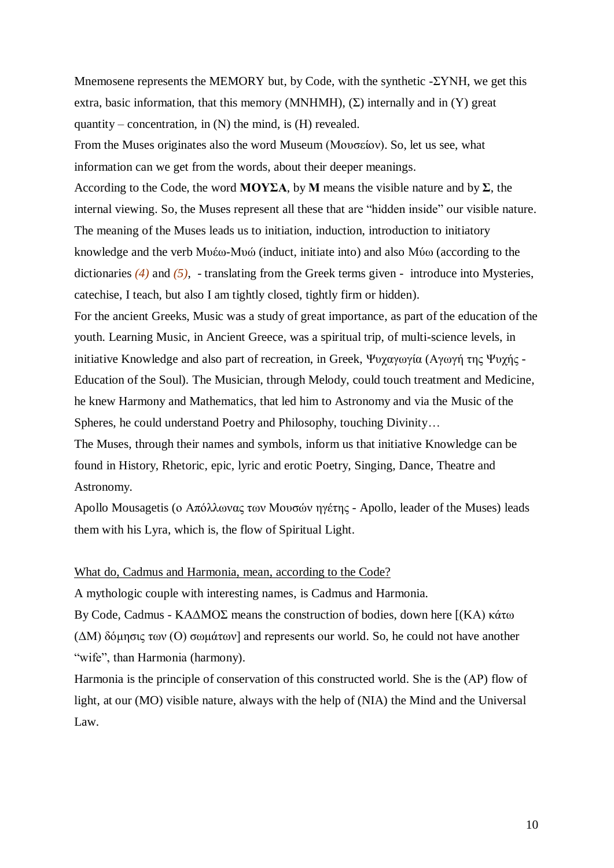Mnemosene represents the MEMORY but, by Code, with the synthetic - $\Sigma$ YNH, we get this extra, basic information, that this memory (MNHMH),  $(\Sigma)$  internally and in (Y) great quantity – concentration, in  $(N)$  the mind, is  $(H)$  revealed.

From the Muses originates also the word Museum (Μουσείον). So, let us see, what information can we get from the words, about their deeper meanings.

According to the Code, the word **ΜΟΥΣΑ**, by **M** means the visible nature and by  $\Sigma$ , the internal viewing. So, the Muses represent all these that are "hidden inside" our visible nature. The meaning of the Muses leads us to initiation, induction, introduction to initiatory knowledge and the verb Μυέω-Μυώ (induct, initiate into) and also Μύω (according to the dictionaries *(4)* and *(5)*, - translating from the Greek terms given - introduce into Mysteries, catechise, I teach, but also I am tightly closed, tightly firm or hidden).

For the ancient Greeks, Music was a study of great importance, as part of the education of the youth. Learning Music, in Ancient Greece, was a spiritual trip, of multi-science levels, in initiative Knowledge and also part of recreation, in Greek, Ψυχαγωγία (Αγωγή της Ψυχής - Education of the Soul). The Musician, through Melody, could touch treatment and Medicine, he knew Harmony and Mathematics, that led him to Astronomy and via the Music of the Spheres, he could understand Poetry and Philosophy, touching Divinity…

The Muses, through their names and symbols, inform us that initiative Knowledge can be found in History, Rhetoric, epic, lyric and erotic Poetry, Singing, Dance, Theatre and Astronomy.

Apollo Mousagetis (ο Απόλλωνας των Μουσών ηγέτης - Apollo, leader of the Muses) leads them with his Lyra, which is, the flow of Spiritual Light.

#### What do, Cadmus and Harmonia, mean, according to the Code?

A mythologic couple with interesting names, is Cadmus and Harmonia.

By Code, Cadmus - ΚΑΔΜΟΣ means the construction of bodies, down here [(KΑ) κάτω (ΔΜ) δόμησις των (Ο) σωμάτων] and represents our world. So, he could not have another "wife", than Harmonia (harmony).

Harmonia is the principle of conservation of this constructed world. She is the (ΑΡ) flow of light, at our (MO) visible nature, always with the help of (NIA) the Mind and the Universal Law.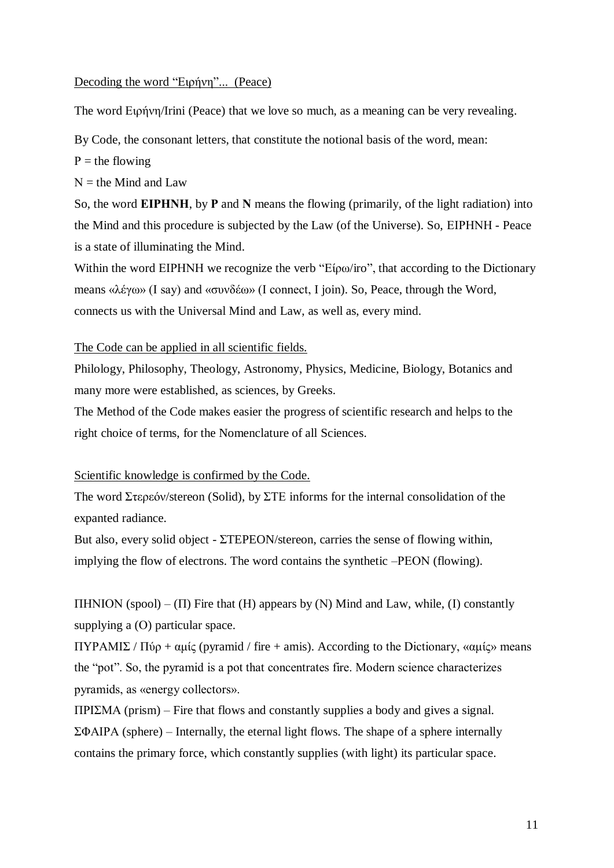### Decoding the word "Ειρήνη"... (Peace)

The word Ειρήνη/Irini (Peace) that we love so much, as a meaning can be very revealing.

By Code, the consonant letters, that constitute the notional basis of the word, mean:

 $P =$  the flowing

 $N =$  the Mind and Law

So, the word **ΕΙΡΗΝΗ**, by **Ρ** and **Ν** means the flowing (primarily, of the light radiation) into the Mind and this procedure is subjected by the Law (of the Universe). So, ΕΙΡΗΝΗ - Peace is a state of illuminating the Mind.

Within the word ΕΙΡΗΝΗ we recognize the verb "Είρω/iro", that according to the Dictionary means «λέγω» (I say) and «συνδέω» (I connect, I join). So, Peace, through the Word, connects us with the Universal Mind and Law, as well as, every mind.

The Code can be applied in all scientific fields.

Philology, Philosophy, Theology, Astronomy, Physics, Medicine, Biology, Botanics and many more were established, as sciences, by Greeks.

The Method of the Code makes easier the progress of scientific research and helps to the right choice of terms, for the Nomenclature of all Sciences.

### Scientific knowledge is confirmed by the Code.

The word Στερεόν/stereon (Solid), by ΣΤΕ informs for the internal consolidation of the expanted radiance.

But also, every solid object - ΣTEPEON/stereon, carries the sense of flowing within, implying the flow of electrons. The word contains the synthetic –ΡΕΟΝ (flowing).

ΠΗΝΙΟΝ (spool) – (Π) Fire that (Η) appears by (Ν) Mind and Law, while, (Ι) constantly supplying a (Ο) particular space.

ΠΥΡΑΜΙΣ / Πύρ + αμίς (pyramid / fire + amis). According to the Dictionary, «αμίς» means the "pot". So, the pyramid is a pot that concentrates fire. Modern science characterizes pyramids, as «energy collectors».

ΠΡΙΣΜΑ (prism) – Fire that flows and constantly supplies a body and gives a signal. ΣΦΑΙΡΑ (sphere) – Internally, the eternal light flows. The shape of a sphere internally contains the primary force, which constantly supplies (with light) its particular space.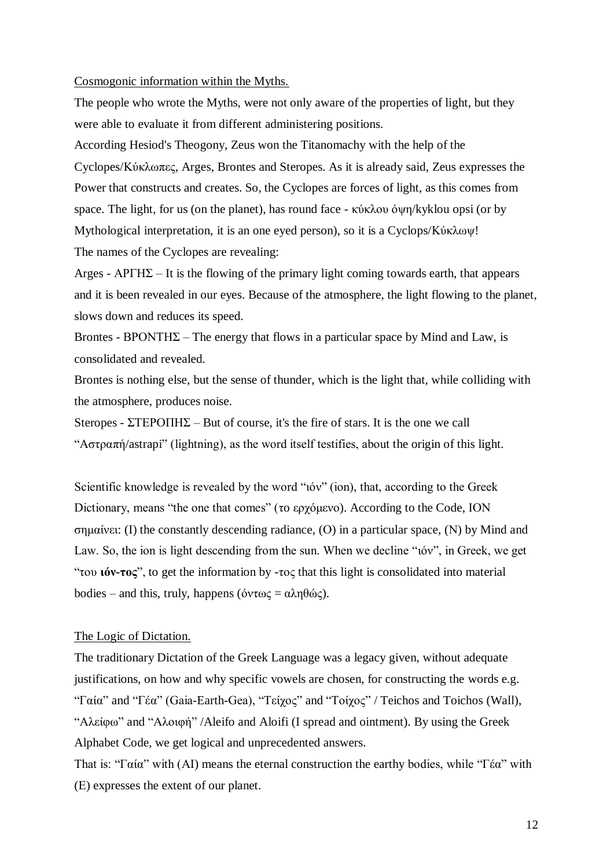#### Cosmogonic information within the Myths.

The people who wrote the Myths, were not only aware of the properties of light, but they were able to evaluate it from different administering positions.

According Hesiod's Theogony, Zeus won the Titanomachy with the help of the Cyclopes/Κύκλωπες, Arges, Brontes and Steropes. As it is already said, Zeus expresses the Power that constructs and creates. So, the Cyclopes are forces of light, as this comes from space. The light, for us (on the planet), has round face - κύκλου όψη/kyklou opsi (or by Mythological interpretation, it is an one eyed person), so it is a Cyclops/Κύκλωψ! The names of the Cyclopes are revealing:

Arges -  $APTH\Sigma - It$  is the flowing of the primary light coming towards earth, that appears and it is been revealed in our eyes. Because of the atmosphere, the light flowing to the planet, slows down and reduces its speed.

Brontes -  $B$ PONTH $\Sigma$  – The energy that flows in a particular space by Mind and Law, is consolidated and revealed.

Brontes is nothing else, but the sense of thunder, which is the light that, while colliding with the atmosphere, produces noise.

Steropes - ΣΤΕΡΟΠΗΣ – But of course, it's the fire of stars. It is the one we call "Αστραπή/astrapi" (lightning), as the word itself testifies, about the origin of this light.

Scientific knowledge is revealed by the word "ιόν" (ion), that, according to the Greek Dictionary, means "the one that comes" (τo ερχόμενο). According to the Code, ΙΟΝ σημαίνει: (Ι) the constantly descending radiance, (Ο) in a particular space, (Ν) by Mind and Law. So, the ion is light descending from the sun. When we decline "ιόν", in Greek, we get "του **ιόν-τος**", to get the information by -τος that this light is consolidated into material bodies – and this, truly, happens (όντως = αληθώς).

# The Logic of Dictation.

The traditionary Dictation of the Greek Language was a legacy given, without adequate justifications, on how and why specific vowels are chosen, for constructing the words e.g. "Γαία" and "Γέα" (Gaia-Earth-Gea), "Τείχος" and "Τοίχος" / Teichos and Toichos (Wall), "Αλείφω" and "Αλοιφή" /Aleifo and Aloifi (I spread and ointment). By using the Greek Alphabet Code, we get logical and unprecedented answers.

That is: "Γαία" with (ΑΙ) means the eternal construction the earthy bodies, while "Γέα" with (Ε) expresses the extent of our planet.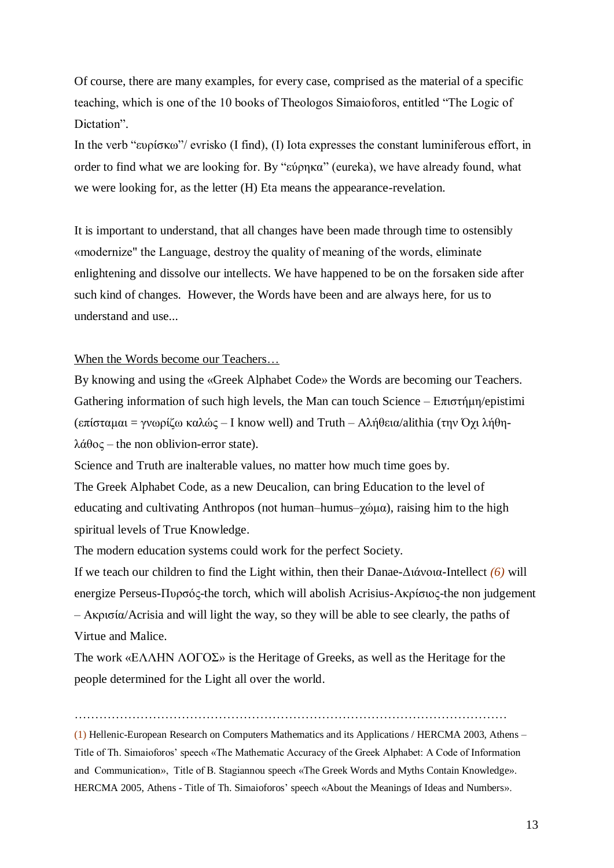Of course, there are many examples, for every case, comprised as the material of a specific teaching, which is one of the 10 books of Theologos Simaioforos, entitled "The Logic of Dictation".

In the verb "ευρίσκω"/ evrisko (I find), (I) Iota expresses the constant luminiferous effort, in order to find what we are looking for. By "εύρηκα" (eureka), we have already found, what we were looking for, as the letter (H) Eta means the appearance-revelation.

It is important to understand, that all changes have been made through time to ostensibly «modernize" the Language, destroy the quality of meaning of the words, eliminate enlightening and dissolve our intellects. We have happened to be on the forsaken side after such kind of changes. However, the Words have been and are always here, for us to understand and use...

### When the Words become our Teachers…

By knowing and using the «Greek Alphabet Code» the Words are becoming our Teachers. Gathering information of such high levels, the Man can touch Science –  $E\pi i\sigma\tau\eta\mu\eta$ /epistimi (επίσταμαι = γνωρίζω καλώς – I know well) and Truth – Αλήθεια/alithia (την Όχι λήθηλάθος – the non oblivion-error state).

Science and Truth are inalterable values, no matter how much time goes by.

The Greek Alphabet Code, as a new Deucalion, can bring Education to the level of educating and cultivating Anthropos (not human–humus–χώμα), raising him to the high spiritual levels of True Knowledge.

The modern education systems could work for the perfect Society.

If we teach our children to find the Light within, then their Danae-Διάνοια-Intellect *(6)* will energize Perseus-Πυρσός-the torch, which will abolish Acrisius-Ακρίσιος-the non judgement – Ακρισία/Acrisia and will light the way, so they will be able to see clearly, the paths of Virtue and Malice.

The work «ΕΛΛΗΝ ΛΟΓΟΣ» is the Heritage of Greeks, as well as the Heritage for the people determined for the Light all over the world.

……………………………………………………………………………………………

(1) Hellenic-European Research on Computers Mathematics and its Applications / HERCMA 2003, Athens – Title of Th. Simaioforos' speech «The Mathematic Accuracy of the Greek Alphabet: A Code of Information and Communication», Title of B. Stagiannou speech «The Greek Words and Myths Contain Knowledge». HERCMA 2005, Athens - Title of Th. Simaioforos' speech «About the Meanings of Ideas and Numbers».